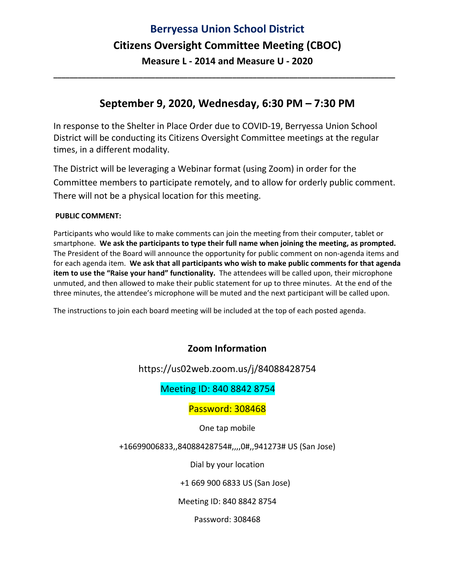# **Berryessa Union School District Citizens Oversight Committee Meeting (CBOC) Measure L ‐ 2014 and Measure U ‐ 2020**

### **September 9, 2020, Wednesday, 6:30 PM – 7:30 PM**

**\_\_\_\_\_\_\_\_\_\_\_\_\_\_\_\_\_\_\_\_\_\_\_\_\_\_\_\_\_\_\_\_\_\_\_\_\_\_\_\_\_\_\_\_\_\_\_\_\_\_\_\_\_\_\_\_\_\_\_\_\_\_\_\_\_\_\_\_\_\_\_\_\_\_\_\_\_\_\_\_\_\_\_\_** 

In response to the Shelter in Place Order due to COVID‐19, Berryessa Union School District will be conducting its Citizens Oversight Committee meetings at the regular times, in a different modality.

The District will be leveraging a Webinar format (using Zoom) in order for the Committee members to participate remotely, and to allow for orderly public comment. There will not be a physical location for this meeting.

#### **PUBLIC COMMENT:**

Participants who would like to make comments can join the meeting from their computer, tablet or smartphone. **We ask the participants to type their full name when joining the meeting, as prompted.** The President of the Board will announce the opportunity for public comment on non‐agenda items and for each agenda item. **We ask that all participants who wish to make public comments for that agenda item to use the "Raise your hand" functionality.** The attendees will be called upon, their microphone unmuted, and then allowed to make their public statement for up to three minutes. At the end of the three minutes, the attendee's microphone will be muted and the next participant will be called upon.

The instructions to join each board meeting will be included at the top of each posted agenda.

### **Zoom Information**

#### https://us02web.zoom.us/j/84088428754

### Meeting ID: 840 8842 8754

#### Password: 308468

One tap mobile

+16699006833,,84088428754#,,,,0#,,941273# US (San Jose)

Dial by your location

+1 669 900 6833 US (San Jose)

Meeting ID: 840 8842 8754

Password: 308468